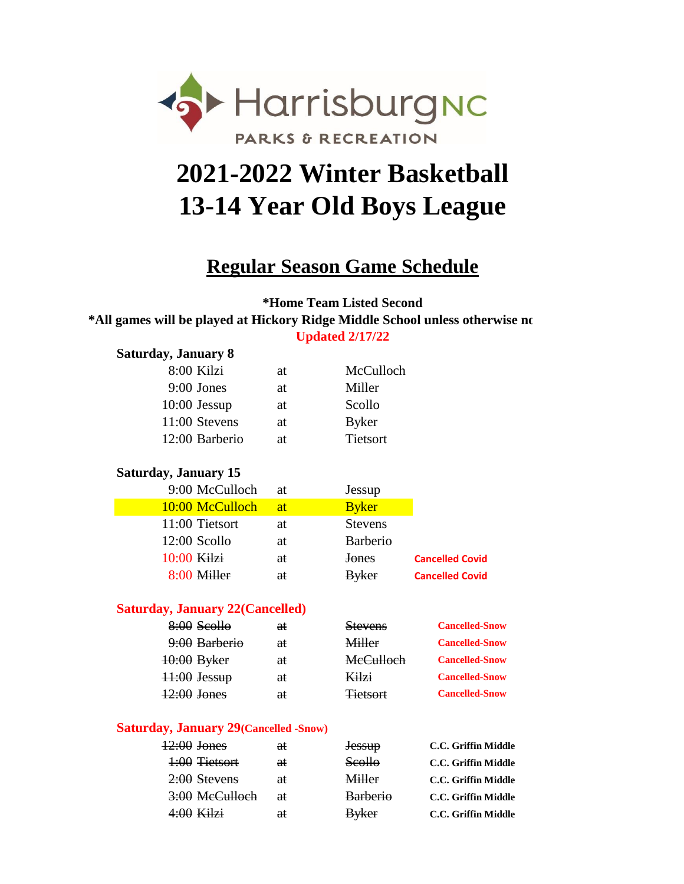

# **2021-2022 Winter Basketball 13-14 Year Old Boys League**

## **Regular Season Game Schedule**

#### **\*Home Team Listed Second**

\*All games will be played at Hickory Ridge Middle School unless otherwise no **Updated 2/17/22**

| <b>Saturday, January 8</b>  |                                               |    |                  |                            |
|-----------------------------|-----------------------------------------------|----|------------------|----------------------------|
|                             | 8:00 Kilzi                                    | at | McCulloch        |                            |
|                             | $9:00$ Jones                                  | at | Miller           |                            |
|                             | $10:00$ Jessup                                | at | Scollo           |                            |
|                             | 11:00 Stevens                                 | at | <b>Byker</b>     |                            |
|                             | 12:00 Barberio                                | at | Tietsort         |                            |
| <b>Saturday, January 15</b> |                                               |    |                  |                            |
|                             | 9:00 McCulloch                                | at | Jessup           |                            |
|                             | 10:00 McCulloch                               | at | <b>Byker</b>     |                            |
|                             | 11:00 Tietsort                                | at | <b>Stevens</b>   |                            |
|                             | 12:00 Scollo                                  | at | <b>Barberio</b>  |                            |
| $10:00$ Kilzi               |                                               | aŧ | <b>Jones</b>     | <b>Cancelled Covid</b>     |
|                             | 8:00 Miller                                   | at | <b>Byker</b>     | <b>Cancelled Covid</b>     |
|                             | <b>Saturday, January 22 (Cancelled)</b>       |    |                  |                            |
|                             | $8:00$ Seollo                                 | aŧ | <b>Stevens</b>   | <b>Cancelled-Snow</b>      |
|                             | 9:00 Barberio                                 | €ŧ | <b>Miller</b>    | <b>Cancelled-Snow</b>      |
|                             | $10:00$ Byker                                 | aŧ | <b>MeCulloch</b> | <b>Cancelled-Snow</b>      |
|                             | $11:00$ Jessup                                | aŧ | Kilzi            | <b>Cancelled-Snow</b>      |
|                             | $42:00$ Jones                                 | aŧ | <b>Tietsort</b>  | <b>Cancelled-Snow</b>      |
|                             | <b>Saturday, January 29 (Cancelled -Snow)</b> |    |                  |                            |
|                             | $42:00$ Jones                                 | aŧ | <b>Jessup</b>    | <b>C.C. Griffin Middle</b> |
|                             | 1:00 Tietsort                                 | at | Seollo           | <b>C.C. Griffin Middle</b> |
|                             | 2:00 Stevens                                  | aŧ | <b>Miller</b>    | <b>C.C. Griffin Middle</b> |
|                             | 3:00 MeCulloch                                | at | <b>Barberio</b>  | C.C. Griffin Middle        |
|                             | $4:00$ Kilzi                                  | aŧ | <b>Byker</b>     | C.C. Griffin Middle        |
|                             |                                               |    |                  |                            |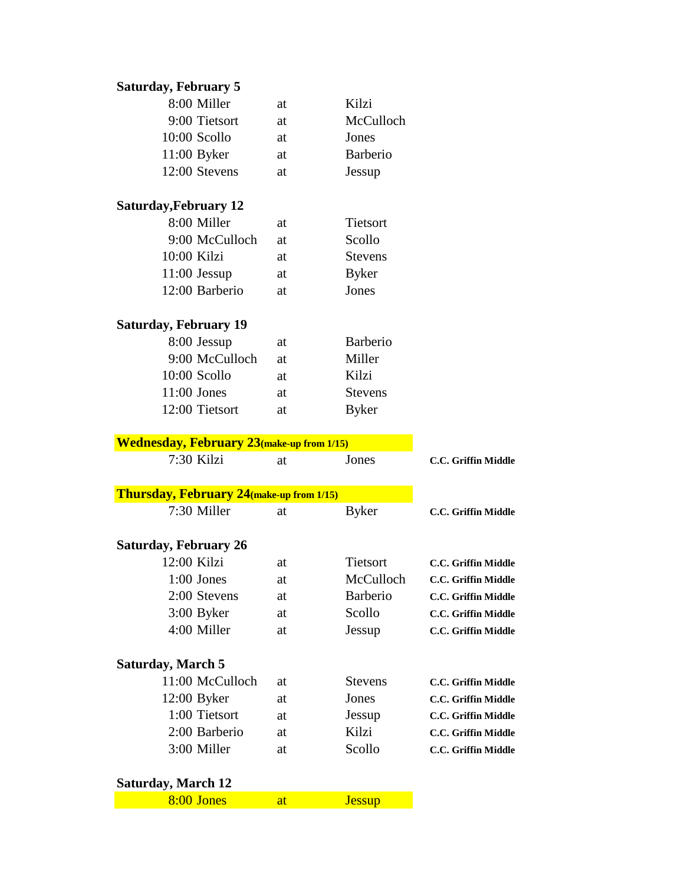#### **Saturday, February 5**

| 8:00 Miller   | at | Kilzi     |
|---------------|----|-----------|
| 9:00 Tietsort | at | McCulloch |
| 10:00 Scollo  | at | Jones     |
| $11:00$ Byker | at | Barberio  |
| 12:00 Stevens | at | Jessup    |

#### **Saturday,February 12**

| 8:00 Miller    | at | Tietsort       |
|----------------|----|----------------|
| 9:00 McCulloch | at | Scollo         |
| $10:00$ Kilzi  | at | <b>Stevens</b> |
| $11:00$ Jessup | at | <b>Byker</b>   |
| 12:00 Barberio | аt | Jones          |

#### **Saturday, February 19**

| 8:00 Jessup    | at | <b>Barberio</b> |
|----------------|----|-----------------|
| 9:00 McCulloch | at | Miller          |
| 10:00 Scollo   | at | Kilzi           |
| $11:00$ Jones  | at | <b>Stevens</b>  |
| 12:00 Tietsort | at | <b>Byker</b>    |

#### 7:30 Kilzi at Jones **Wednesday, February 23(make-up from 1/15)**

| <b>Thursday, February 24 (make-up from 1/15)</b> |     |                 |                     |  |
|--------------------------------------------------|-----|-----------------|---------------------|--|
| 7:30 Miller                                      | at. | <b>Byker</b>    | C.C. Griffin Middle |  |
| <b>Saturday, February 26</b>                     |     |                 |                     |  |
| $12:00$ Kilzi                                    | at. | <b>Tietsort</b> | C.C. Griffin Middle |  |
| $1:00$ Jones                                     | at. | McCulloch       | C.C. Griffin Middle |  |
| 2:00 Stevens                                     | at  | <b>Barberio</b> | C.C. Griffin Middle |  |
| $3:00$ Byker                                     | at  | Scollo          | C.C. Griffin Middle |  |
| 4:00 Miller                                      | at. | Jessup          | C.C. Griffin Middle |  |
| Saturday, March 5                                |     |                 |                     |  |
| 11:00 McCulloch                                  | at. | <b>Stevens</b>  | C.C. Griffin Middle |  |
| 12:00 Byker                                      | at  | Jones           | C.C. Griffin Middle |  |
| 1:00 Tietsort                                    | at  | Jessup          | C.C. Griffin Middle |  |
| 2:00 Barberio                                    | at. | Kilzi           | C.C. Griffin Middle |  |
| 3:00 Miller                                      | at. | Scollo          | C.C. Griffin Middle |  |
| Saturday, March 12                               |     |                 |                     |  |
| 8:00 Jones                                       | at. | <b>Jessup</b>   |                     |  |

**C.C. Griffin Middle**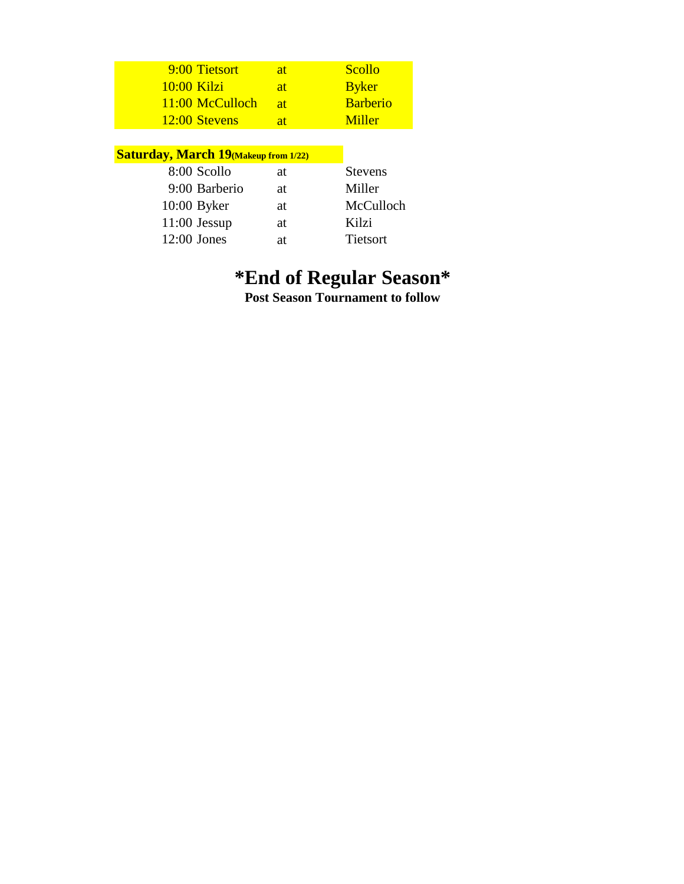| 9:00 Tietsort                                | <b>at</b> | <b>Scollo</b>   |
|----------------------------------------------|-----------|-----------------|
| 10:00 Kilzi                                  | <b>at</b> | <b>Byker</b>    |
| 11:00 McCulloch                              | <b>at</b> | <b>Barberio</b> |
| 12:00 Stevens                                | at        | Miller          |
|                                              |           |                 |
| <b>Saturday, March 19 (Makeup from 1/22)</b> |           |                 |
| 8:00 Scollo                                  | at        | <b>Stevens</b>  |
| 9:00 Barberio                                | at        | Miller          |

| 9:00 Barberio  | at | Miller    |
|----------------|----|-----------|
| $10:00$ Byker  | at | McCulloch |
| $11:00$ Jessup | at | Kilzi     |
| $12:00$ Jones  | at | Tietsort  |
|                |    |           |

### **\*End of Regular Season\***

**Post Season Tournament to follow**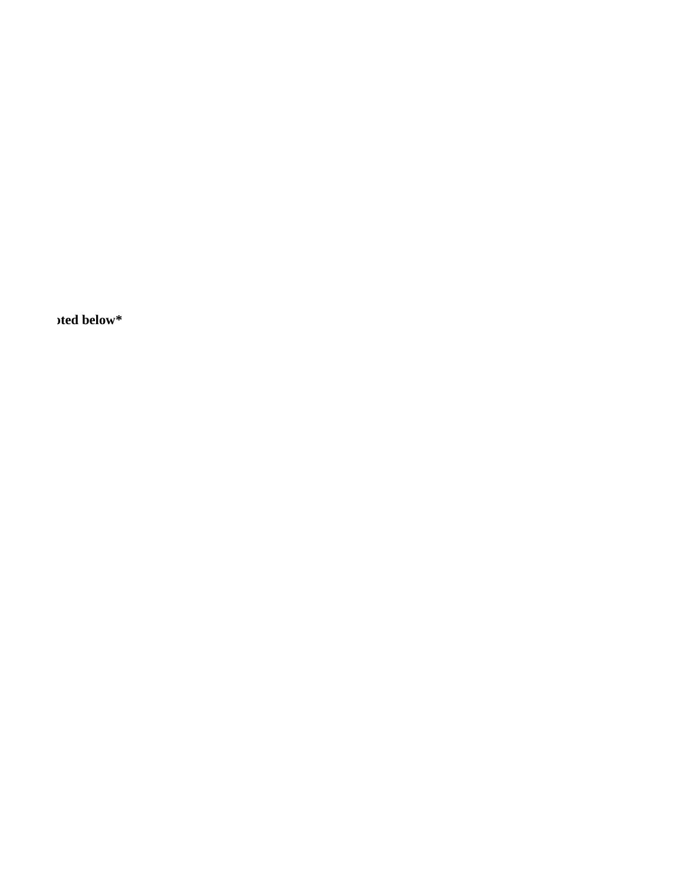bted below<sup>\*</sup>